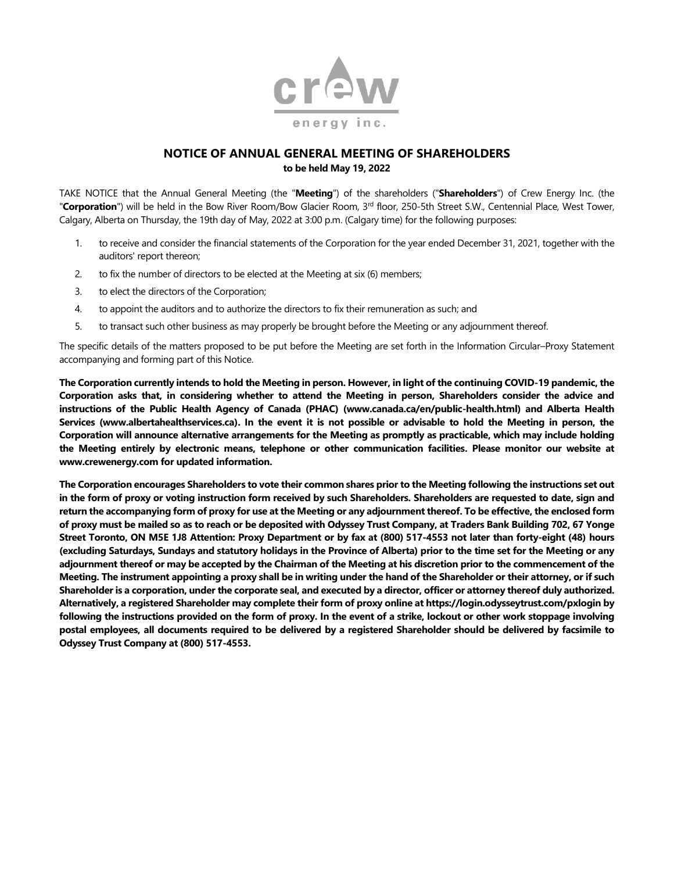

## **NOTICE OF ANNUAL GENERAL MEETING OF SHAREHOLDERS to be held May 19, 2022**

TAKE NOTICE that the Annual General Meeting (the "**Meeting**") of the shareholders ("**Shareholders**") of Crew Energy Inc. (the "Corporation") will be held in the Bow River Room/Bow Glacier Room, 3<sup>rd</sup> floor, 250-5th Street S.W., Centennial Place, West Tower, Calgary, Alberta on Thursday, the 19th day of May, 2022 at 3:00 p.m. (Calgary time) for the following purposes:

- 1. to receive and consider the financial statements of the Corporation for the year ended December 31, 2021, together with the auditors' report thereon;
- 2. to fix the number of directors to be elected at the Meeting at six (6) members;
- 3. to elect the directors of the Corporation;
- 4. to appoint the auditors and to authorize the directors to fix their remuneration as such; and
- 5. to transact such other business as may properly be brought before the Meeting or any adjournment thereof.

The specific details of the matters proposed to be put before the Meeting are set forth in the Information Circular–Proxy Statement accompanying and forming part of this Notice.

**The Corporation currently intends to hold the Meeting in person. However, in light of the continuing COVID-19 pandemic, the Corporation asks that, in considering whether to attend the Meeting in person, Shareholders consider the advice and instructions of the Public Health Agency of Canada (PHAC) (www.canada.ca/en/public-health.html) and Alberta Health Services (www.albertahealthservices.ca). In the event it is not possible or advisable to hold the Meeting in person, the Corporation will announce alternative arrangements for the Meeting as promptly as practicable, which may include holding the Meeting entirely by electronic means, telephone or other communication facilities. Please monitor our website at www.crewenergy.com for updated information.** 

**The Corporation encourages Shareholders to vote their common shares prior to the Meeting following the instructions set out in the form of proxy or voting instruction form received by such Shareholders. Shareholders are requested to date, sign and return the accompanying form of proxy for use at the Meeting or any adjournment thereof. To be effective, the enclosed form of proxy must be mailed so as to reach or be deposited with Odyssey Trust Company, at Traders Bank Building 702, 67 Yonge Street Toronto, ON M5E 1J8 Attention: Proxy Department or by fax at (800) 517-4553 not later than forty-eight (48) hours (excluding Saturdays, Sundays and statutory holidays in the Province of Alberta) prior to the time set for the Meeting or any adjournment thereof or may be accepted by the Chairman of the Meeting at his discretion prior to the commencement of the Meeting. The instrument appointing a proxy shall be in writing under the hand of the Shareholder or their attorney, or if such Shareholder is a corporation, under the corporate seal, and executed by a director, officer or attorney thereof duly authorized. Alternatively, a registered Shareholder may complete their form of proxy online a[t https://login.odysseytrust.com/pxlogin](https://login.odysseytrust.com/pxlogin) by following the instructions provided on the form of proxy. In the event of a strike, lockout or other work stoppage involving postal employees, all documents required to be delivered by a registered Shareholder should be delivered by facsimile to Odyssey Trust Company at (800) 517-4553.**